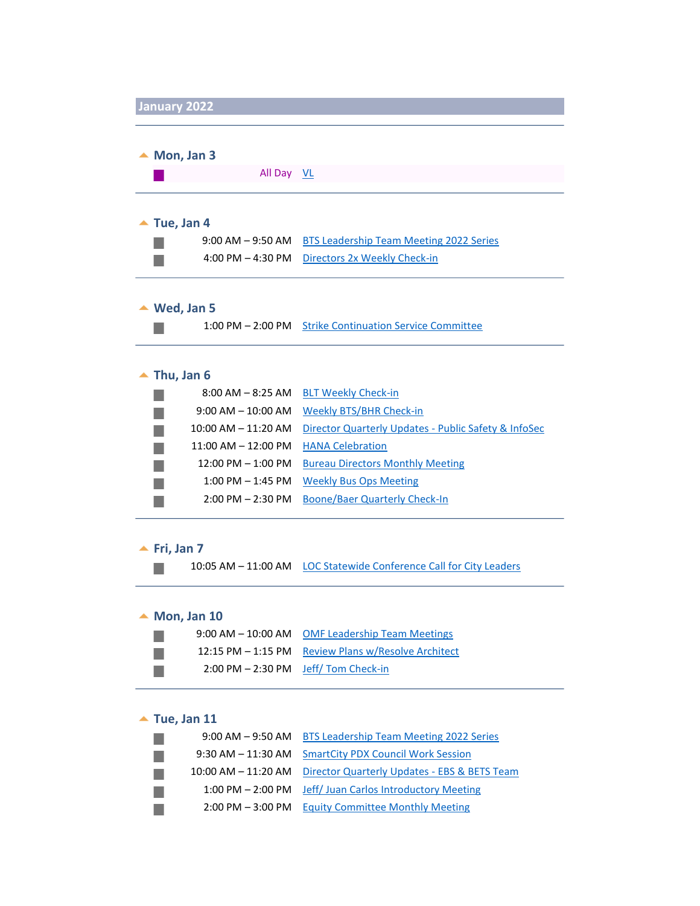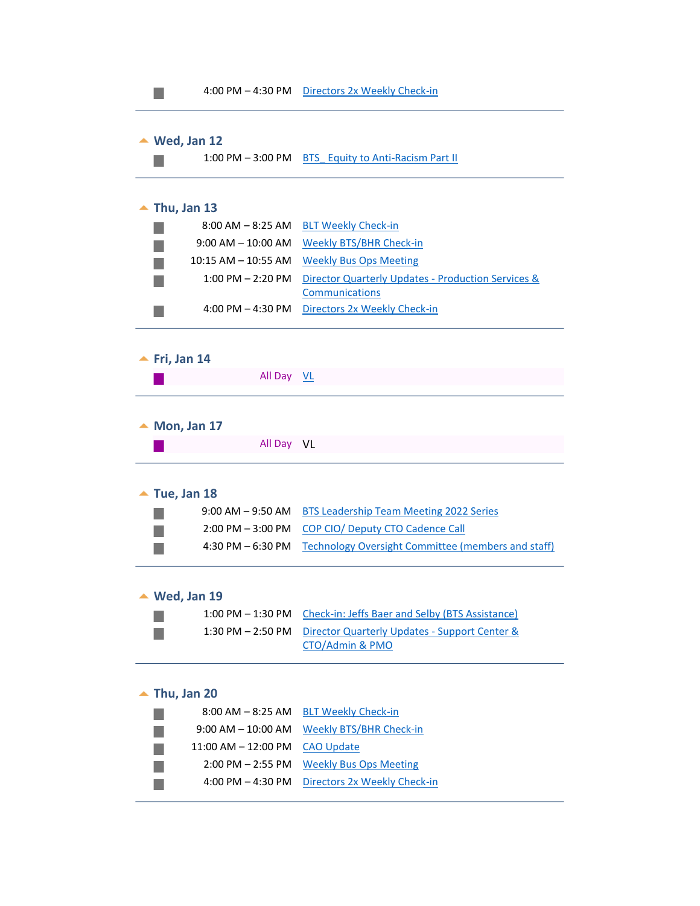

 $\mathcal{L}_{\mathcal{A}}$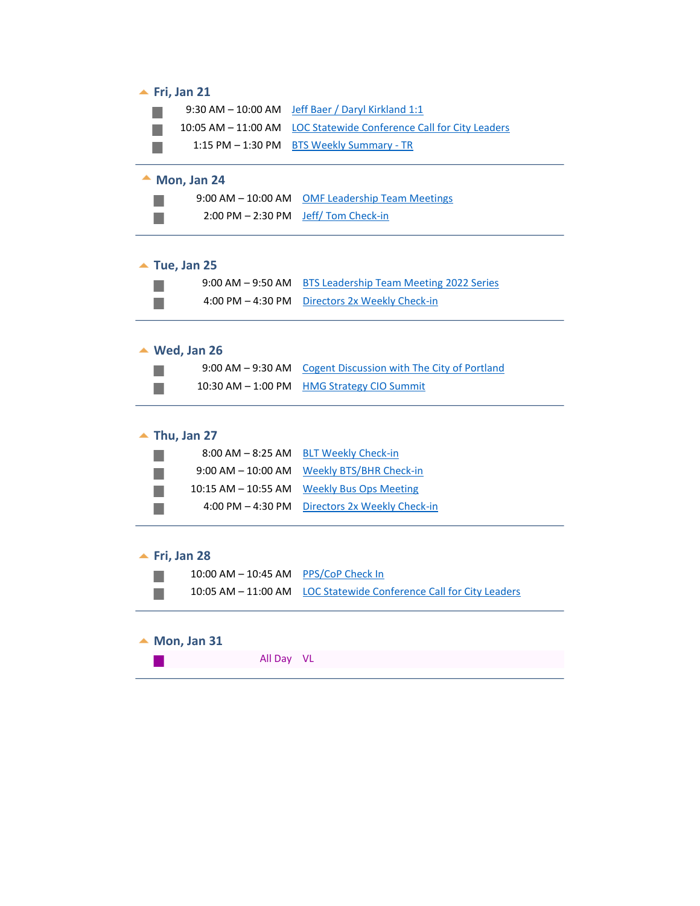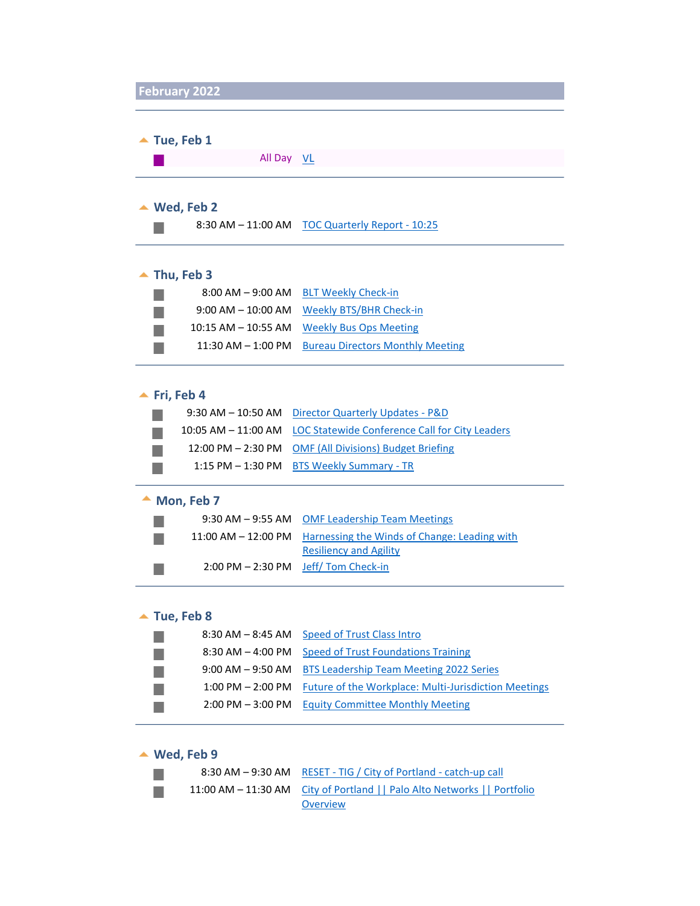

| $\blacktriangle$ Tue, Feb 1 |                                                 |  |
|-----------------------------|-------------------------------------------------|--|
| All Day VL                  |                                                 |  |
|                             |                                                 |  |
| Wed, Feb 2<br>▲             |                                                 |  |
|                             | 8:30 AM - 11:00 AM TOC Quarterly Report - 10:25 |  |
|                             |                                                 |  |
| Thu, Feb 3                  |                                                 |  |
|                             | 8:00 AM - 9:00 AM BLT Weekly Check-in           |  |
|                             |                                                 |  |

|                        | 9:00 AM - 10:00 AM Weekly BTS/BHR Check-in |
|------------------------|--------------------------------------------|
|                        | 10:15 AM - 10:55 AM Weekly Bus Ops Meeting |
| $11:30$ AM $- 1:00$ PM | <b>Bureau Directors Monthly Meeting</b>    |

# ▲ Fri, Feb 4

|  | 9:30 AM - 10:50 AM Director Quarterly Updates - P&D                |
|--|--------------------------------------------------------------------|
|  | 10:05 AM - 11:00 AM LOC Statewide Conference Call for City Leaders |
|  | 12:00 PM - 2:30 PM OMF (All Divisions) Budget Briefing             |
|  | 1:15 PM - 1:30 PM BTS Weekly Summary - TR                          |

# ▲ Mon, Feb 7

|                                                       | 9:30 AM – 9:55 AM OMF Leadership Team Meetings                   |
|-------------------------------------------------------|------------------------------------------------------------------|
|                                                       | 11:00 AM – 12:00 PM Harnessing the Winds of Change: Leading with |
|                                                       | <b>Resiliency and Agility</b>                                    |
| $2:00 \text{ PM} - 2:30 \text{ PM}$ Jeff/Tom Check-in |                                                                  |

# ▲ Tue, Feb 8

| 8:30 AM - 8:45 AM Speed of Trust Class Intro                           |
|------------------------------------------------------------------------|
| 8:30 AM - 4:00 PM Speed of Trust Foundations Training                  |
| 9:00 AM - 9:50 AM BTS Leadership Team Meeting 2022 Series              |
| 1:00 PM – 2:00 PM Future of the Workplace: Multi-Jurisdiction Meetings |
| 2:00 PM - 3:00 PM Equity Committee Monthly Meeting                     |
|                                                                        |

# **Wed, Feb 9**

 $\mathbb{R}^n$  $\mathbb{R}^n$ 

| 8:30 AM - 9:30 AM RESET - TIG / City of Portland - catch-up call          |
|---------------------------------------------------------------------------|
| 11:00 AM - 11:30 AM City of Portland     Palo Alto Networks     Portfolio |
| Overview                                                                  |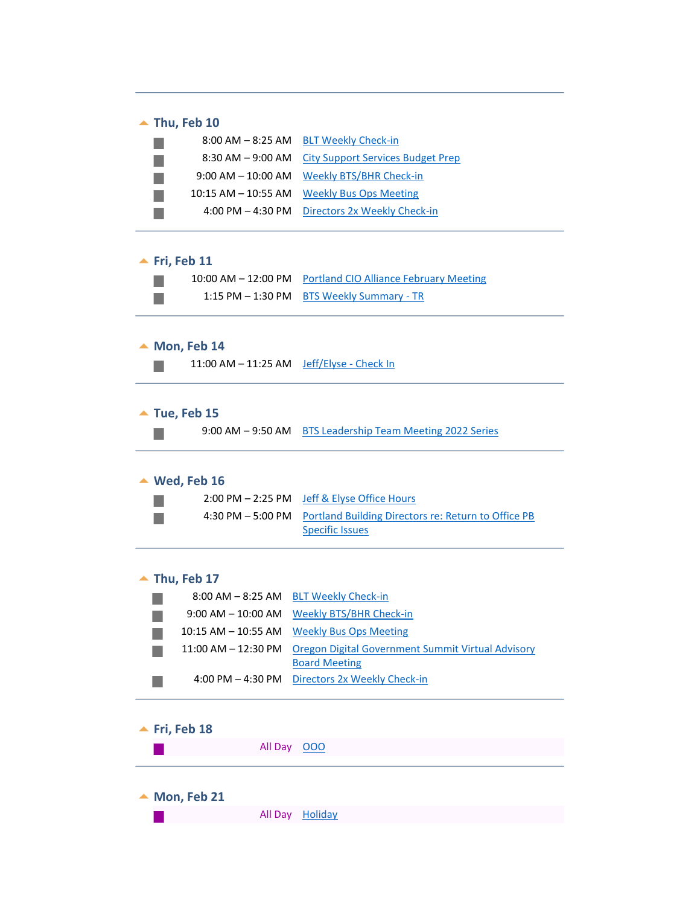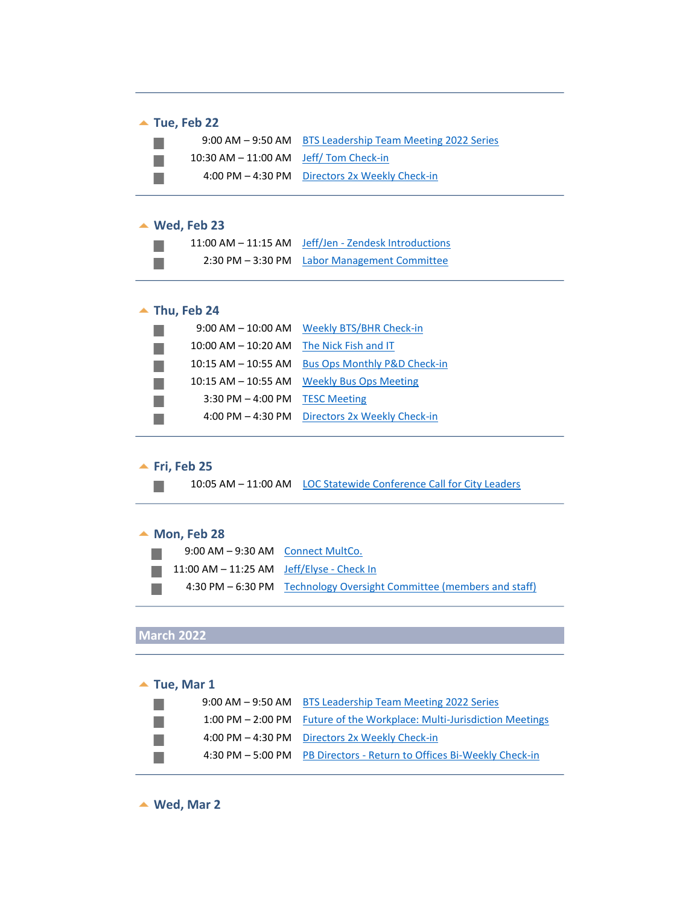# ▲ Tue, Feb 22

|                                           | 9:00 AM - 9:50 AM BTS Leadership Team Meeting 2022 Series |
|-------------------------------------------|-----------------------------------------------------------|
| $10:30$ AM $- 11:00$ AM Jeff/Tom Check-in |                                                           |
|                                           | 4:00 PM – 4:30 PM Directors 2x Weekly Check-in            |

## **Wed, Feb 23**

|  | 11:00 AM - 11:15 AM Jeff/Jen - Zendesk Introductions |
|--|------------------------------------------------------|
|  | 2:30 PM – 3:30 PM Labor Management Committee         |

# ▲ Thu, Feb 24

| $9:00$ AM $-$ 10:00 AM  | <b>Weekly BTS/BHR Check-in</b>          |
|-------------------------|-----------------------------------------|
| $10:00$ AM $- 10:20$ AM | The Nick Fish and IT                    |
| $10:15$ AM $-$ 10:55 AM | <b>Bus Ops Monthly P&amp;D Check-in</b> |
| $10:15$ AM $-$ 10:55 AM | <b>Weekly Bus Ops Meeting</b>           |
| $3:30$ PM $-4:00$ PM    | <b>TESC Meeting</b>                     |
| 4:00 PM $-$ 4:30 PM     | Directors 2x Weekly Check-in            |

#### **<u>▲ Fri, Feb 25</u>**

 $\mathbb{R}^n$ 

10:05 AM – 11:00 AM LOC Statewide Conference Call for City Leaders

### ▲ Mon, Feb 28

| 9:00 AM - 9:30 AM Connect MultCo.                          |                                                                      |
|------------------------------------------------------------|----------------------------------------------------------------------|
| $11:00$ AM $-11:25$ AM $\rightarrow$ Jeff/Elyse - Check In |                                                                      |
|                                                            | 4:30 PM - 6:30 PM Technology Oversight Committee (members and staff) |

# **March 2022**

| $\triangle$ Tue, Mar 1 |                                                                        |  |
|------------------------|------------------------------------------------------------------------|--|
|                        | 9:00 AM – 9:50 AM BTS Leadership Team Meeting 2022 Series              |  |
|                        | 1:00 PM – 2:00 PM Future of the Workplace: Multi-Jurisdiction Meetings |  |
|                        | 4:00 PM - 4:30 PM Directors 2x Weekly Check-in                         |  |
|                        | 4:30 PM - 5:00 PM PB Directors - Return to Offices Bi-Weekly Check-in  |  |

▲ Wed, Mar 2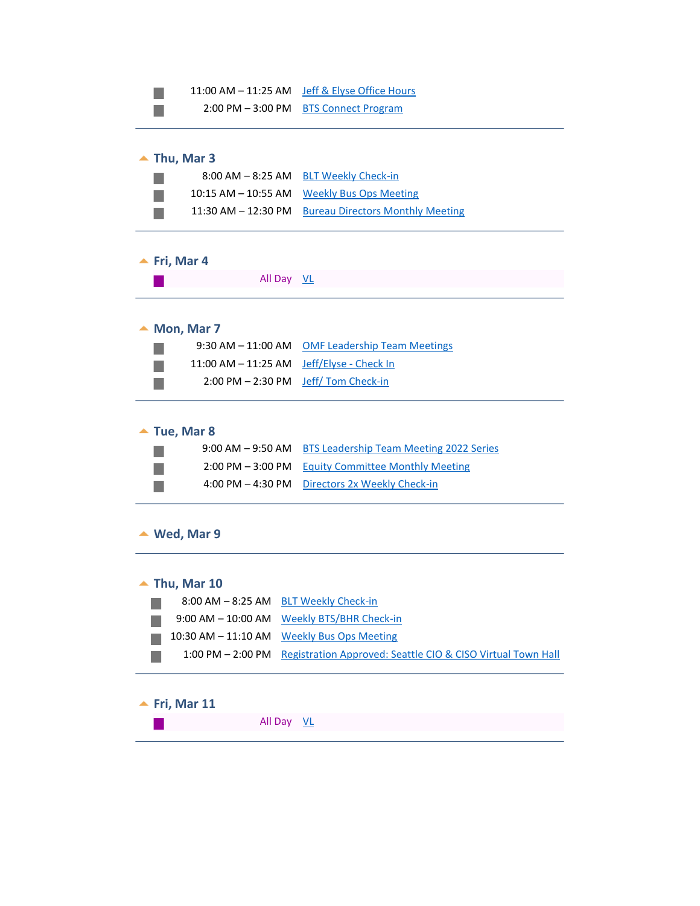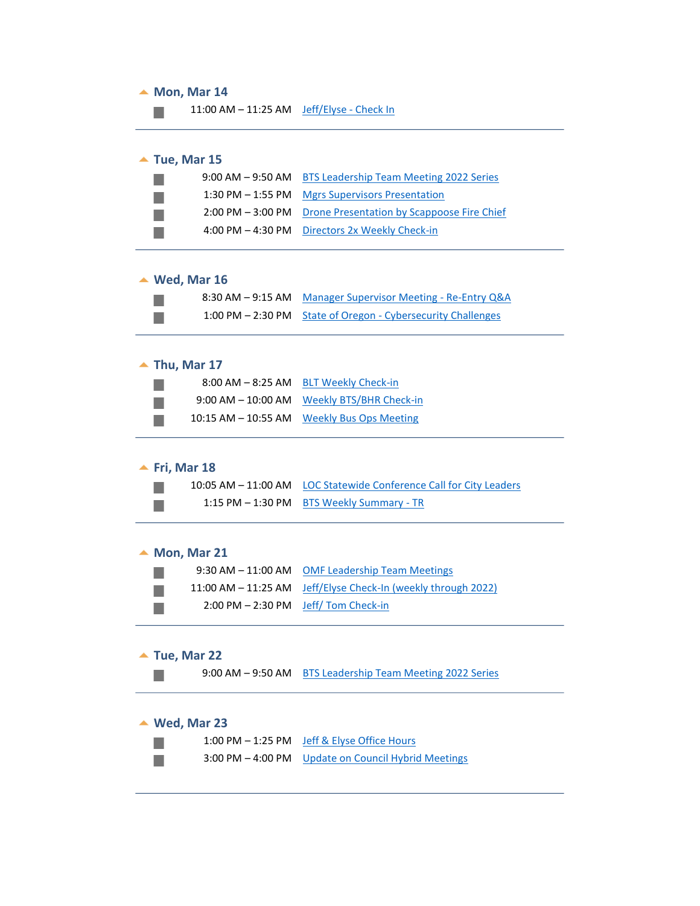#### ▲ Mon, Mar 14

11:00 AM - 11:25 AM Jeff/Elyse - Check In **The Co** 

# ▲ Tue, Mar 15

|  | 9:00 AM - 9:50 AM BTS Leadership Team Meeting 2022 Series    |
|--|--------------------------------------------------------------|
|  | 1:30 PM - 1:55 PM Mgrs Supervisors Presentation              |
|  | 2:00 PM - 3:00 PM Drone Presentation by Scappoose Fire Chief |
|  | 4:00 PM - 4:30 PM Directors 2x Weekly Check-in               |

#### **Wed, Mar 16**

 $\mathcal{C}^{\mathcal{A}}$  $\mathbb{R}^n$ 

| 8:30 AM – 9:15 AM Manager Supervisor Meeting - Re-Entry Q&A  |
|--------------------------------------------------------------|
| 1:00 PM – 2:30 PM State of Oregon - Cybersecurity Challenges |

### ▲ Thu, Mar 17

| $8:00$ AM $-8:25$ AM    | <b>BLT Weekly Check-in</b>     |
|-------------------------|--------------------------------|
| $9:00$ AM $- 10:00$ AM  | <b>Weekly BTS/BHR Check-in</b> |
| $10:15$ AM $-$ 10:55 AM | <b>Weekly Bus Ops Meeting</b>  |

# ▲ Fri, Mar 18

 $\mathbb{R}^3$  $\mathcal{C}_{\mathcal{A}}$ 

P.  $\mathcal{C}^{\mathcal{A}}$  $\mathcal{O}^{\mathcal{A}}$ 

 $\mathbb{R}^3$ 

| 10:05 AM - 11:00 AM LOC Statewide Conference Call for City Leaders |
|--------------------------------------------------------------------|
| 1:15 PM - 1:30 PM BTS Weekly Summary - TR                          |

▲ Mon, Mar 21

|                                                       | 9:30 AM - 11:00 AM OMF Leadership Team Meetings                 |
|-------------------------------------------------------|-----------------------------------------------------------------|
|                                                       | 11:00 AM $-$ 11:25 AM Jeff/Elyse Check-In (weekly through 2022) |
| $2:00 \text{ PM} - 2:30 \text{ PM}$ Jeff/Tom Check-in |                                                                 |

# ▲ Tue, Mar 22

9:00 AM – 9:50 AM BTS Leadership Team Meeting 2022 Series

# **Wed, Mar 23**

|  | 1:00 PM - 1:25 PM Jeff & Elyse Office Hours         |
|--|-----------------------------------------------------|
|  | 3:00 PM – 4:00 PM Update on Council Hybrid Meetings |